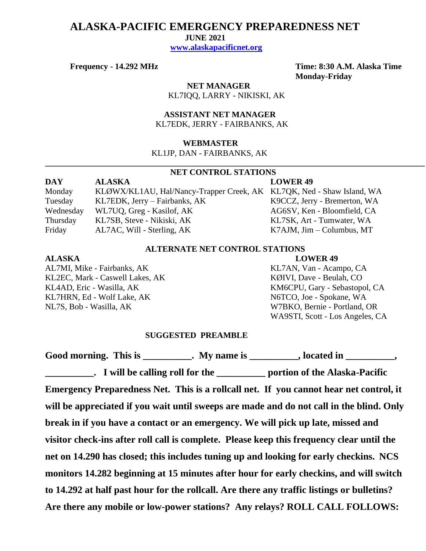## **ALASKA-PACIFIC EMERGENCY PREPAREDNESS NET**

 **JUNE 2021**

 **[www.alaskapacificnet.org](http://www.alaskapacificnet.org/)**

**Frequency - 14.292 MHz Time: 8:30 A.M. Alaska Time Monday-Friday**

> **NET MANAGER** KL7IQQ, LARRY - NIKISKI, AK

 **ASSISTANT NET MANAGER**  KL7EDK, JERRY - FAIRBANKS, AK

### **WEBMASTER**

KL1JP, DAN - FAIRBANKS, AK

# **NET CONTROL STATIONS**

**\_\_\_\_\_\_\_\_\_\_\_\_\_\_\_\_\_\_\_\_\_\_\_\_\_\_\_\_\_\_\_\_\_\_\_\_\_\_\_\_\_\_\_\_\_\_\_\_\_\_\_\_\_\_\_\_\_\_\_\_\_\_\_\_\_\_\_\_\_\_\_\_\_\_\_\_\_\_\_\_\_\_\_\_\_\_\_\_\_\_\_**

| DAY       | <b>ALASKA</b>                                                         | <b>LOWER 49</b>                   |
|-----------|-----------------------------------------------------------------------|-----------------------------------|
| Monday    | KLØWX/KL1AU, Hal/Nancy-Trapper Creek, AK KL7QK, Ned - Shaw Island, WA |                                   |
| Tuesday   | KL7EDK, Jerry – Fairbanks, AK                                         | K9CCZ, Jerry - Bremerton, WA      |
| Wednesday | WL7UQ, Greg - Kasilof, AK                                             | AG6SV, Ken - Bloomfield, CA       |
| Thursday  | KL7SB, Steve - Nikiski, AK                                            | KL7SK, Art - Tumwater, WA         |
| Friday    | AL7AC, Will - Sterling, AK                                            | $K7AJM$ , $Jim - Columbus$ , $MT$ |

### **ALTERNATE NET CONTROL STATIONS**

### **ALASKA LOWER 49**

KL2EC, Mark - Caswell Lakes, AK KØIVI, Dave - Beulah, CO KL4AD, Eric - Wasilla, AK KM6CPU, Gary - Sebastopol, CA KL7HRN, Ed - Wolf Lake, AK N6TCO, Joe - Spokane, WA NL7S, Bob - Wasilla, AK W7BKO, Bernie - Portland, OR

AL7MI, Mike - Fairbanks, AK KL7AN, Van - Acampo, CA WA9STI, Scott - Los Angeles, CA

### **SUGGESTED PREAMBLE**

Good morning. This is \_\_\_\_\_\_\_\_\_\_. My name is \_\_\_\_\_\_\_\_\_, located in \_\_\_\_\_\_\_\_\_, **\_\_\_\_\_\_\_\_\_\_. I will be calling roll for the \_\_\_\_\_\_\_\_\_\_ portion of the Alaska-Pacific Emergency Preparedness Net. This is a rollcall net. If you cannot hear net control, it will be appreciated if you wait until sweeps are made and do not call in the blind. Only break in if you have a contact or an emergency. We will pick up late, missed and visitor check-ins after roll call is complete. Please keep this frequency clear until the net on 14.290 has closed; this includes tuning up and looking for early checkins. NCS monitors 14.282 beginning at 15 minutes after hour for early checkins, and will switch to 14.292 at half past hour for the rollcall. Are there any traffic listings or bulletins? Are there any mobile or low-power stations? Any relays? ROLL CALL FOLLOWS:**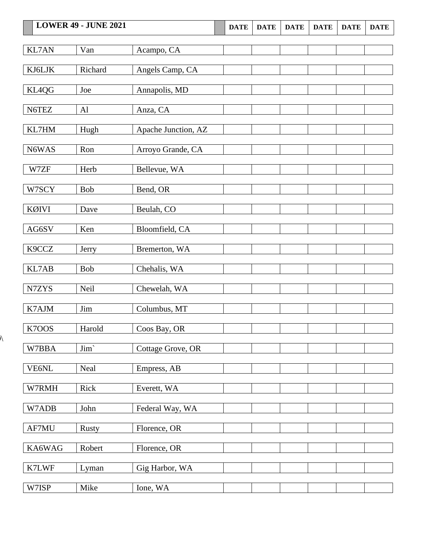|              | <b>LOWER 49 - JUNE 2021</b> |                     | <b>DATE</b> | <b>DATE</b> | <b>DATE</b> | <b>DATE</b> | <b>DATE</b> | <b>DATE</b> |
|--------------|-----------------------------|---------------------|-------------|-------------|-------------|-------------|-------------|-------------|
| <b>KL7AN</b> | Van                         | Acampo, CA          |             |             |             |             |             |             |
| KJ6LJK       | Richard                     | Angels Camp, CA     |             |             |             |             |             |             |
| KL4QG        | Joe                         | Annapolis, MD       |             |             |             |             |             |             |
| N6TEZ        | AI                          | Anza, CA            |             |             |             |             |             |             |
| KL7HM        | Hugh                        | Apache Junction, AZ |             |             |             |             |             |             |
| N6WAS        | Ron                         | Arroyo Grande, CA   |             |             |             |             |             |             |
| W7ZF         | Herb                        | Bellevue, WA        |             |             |             |             |             |             |
| W7SCY        | Bob                         | Bend, OR            |             |             |             |             |             |             |
| <b>KØIVI</b> | Dave                        | Beulah, CO          |             |             |             |             |             |             |
| AG6SV        | Ken                         | Bloomfield, CA      |             |             |             |             |             |             |
| K9CCZ        | Jerry                       | Bremerton, WA       |             |             |             |             |             |             |
| KL7AB        | <b>Bob</b>                  | Chehalis, WA        |             |             |             |             |             |             |
| N7ZYS        | Neil                        | Chewelah, WA        |             |             |             |             |             |             |
| K7AJM        | Jim                         | Columbus, MT        |             |             |             |             |             |             |
| K7OOS        | Harold                      | Coos Bay, OR        |             |             |             |             |             |             |
| W7BBA        | $\text{Jim}`$               | Cottage Grove, OR   |             |             |             |             |             |             |
| VE6NL        | Neal                        | Empress, AB         |             |             |             |             |             |             |
| W7RMH        | Rick                        | Everett, WA         |             |             |             |             |             |             |
| W7ADB        | John                        | Federal Way, WA     |             |             |             |             |             |             |
| AF7MU        | <b>Rusty</b>                | Florence, OR        |             |             |             |             |             |             |
| KA6WAG       | Robert                      | Florence, OR        |             |             |             |             |             |             |
| K7LWF        | Lyman                       | Gig Harbor, WA      |             |             |             |             |             |             |
| W7ISP        | Mike                        | Ione, WA            |             |             |             |             |             |             |

 $\overline{\mathcal{N}}$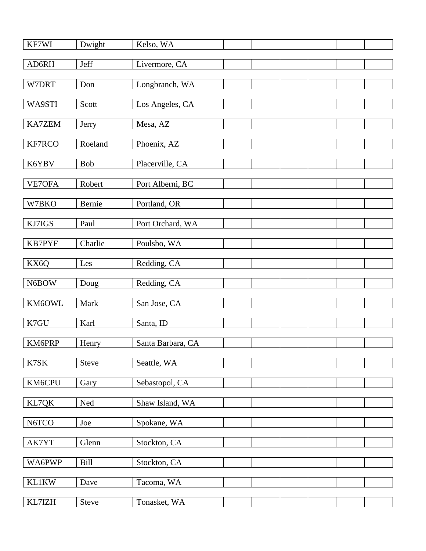| KF7WI         | Dwight     | Kelso, WA         |  |  |  |
|---------------|------------|-------------------|--|--|--|
| AD6RH         | Jeff       | Livermore, CA     |  |  |  |
| W7DRT         | Don        | Longbranch, WA    |  |  |  |
| WA9STI        | Scott      | Los Angeles, CA   |  |  |  |
|               |            |                   |  |  |  |
| <b>KA7ZEM</b> | Jerry      | Mesa, AZ          |  |  |  |
| KF7RCO        | Roeland    | Phoenix, AZ       |  |  |  |
| K6YBV         | <b>Bob</b> | Placerville, CA   |  |  |  |
| VE7OFA        | Robert     | Port Alberni, BC  |  |  |  |
| W7BKO         | Bernie     | Portland, OR      |  |  |  |
| KJ7IGS        | Paul       | Port Orchard, WA  |  |  |  |
| <b>KB7PYF</b> | Charlie    | Poulsbo, WA       |  |  |  |
|               |            |                   |  |  |  |
| KX6Q          | Les        | Redding, CA       |  |  |  |
| N6BOW         | Doug       | Redding, CA       |  |  |  |
| KM6OWL        | Mark       | San Jose, CA      |  |  |  |
| K7GU          | Karl       | Santa, ID         |  |  |  |
| KM6PRP        | Henry      | Santa Barbara, CA |  |  |  |
| K7SK          | Steve      | Seattle, WA       |  |  |  |
| KM6CPU        | Gary       | Sebastopol, CA    |  |  |  |
|               |            |                   |  |  |  |
| KL7QK         | Ned        | Shaw Island, WA   |  |  |  |
| N6TCO         | Joe        | Spokane, WA       |  |  |  |
| AK7YT         | Glenn      | Stockton, CA      |  |  |  |
| WA6PWP        | Bill       | Stockton, CA      |  |  |  |
| <b>KL1KW</b>  | Dave       | Tacoma, WA        |  |  |  |
| KL7IZH        | Steve      | Tonasket, WA      |  |  |  |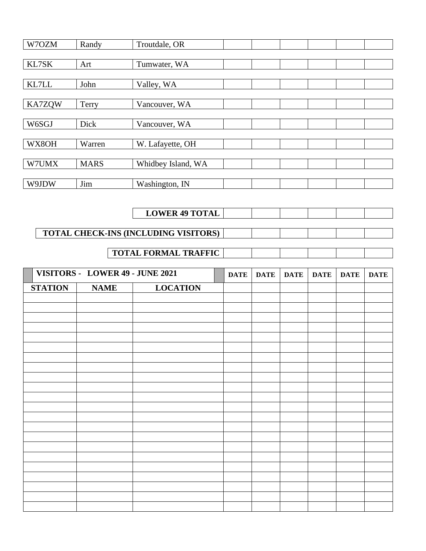| W7OZM<br>Troutdale, OR<br>Randy                                                                                |             |             |             |
|----------------------------------------------------------------------------------------------------------------|-------------|-------------|-------------|
| $\text{KL}7\text{SK}$<br>Art<br>Tumwater, WA                                                                   |             |             |             |
| $\text{KL7LL}$<br>Valley, WA<br>John                                                                           |             |             |             |
| KA7ZQW<br>Vancouver, WA<br>Terry                                                                               |             |             |             |
| W6SGJ<br>Dick<br>Vancouver, WA                                                                                 |             |             |             |
| WX8OH<br>Warren<br>W. Lafayette, OH                                                                            |             |             |             |
| W7UMX<br><b>MARS</b><br>Whidbey Island, WA                                                                     |             |             |             |
| W9JDW<br>Jim<br>Washington, IN                                                                                 |             |             |             |
|                                                                                                                |             |             |             |
| <b>LOWER 49 TOTAL</b>                                                                                          |             |             |             |
| TOTAL CHECK-INS (INCLUDING VISITORS)                                                                           |             |             |             |
| <b>TOTAL FORMAL TRAFFIC</b>                                                                                    |             |             |             |
|                                                                                                                |             |             |             |
| VISITORS - LOWER 49 - JUNE 2021<br><b>DATE</b><br><b>DATE</b><br><b>DATE</b><br><b>LOCATION</b><br><b>NAME</b> | <b>DATE</b> | <b>DATE</b> | <b>DATE</b> |
| <b>STATION</b>                                                                                                 |             |             |             |
|                                                                                                                |             |             |             |
|                                                                                                                |             |             |             |
|                                                                                                                |             |             |             |
|                                                                                                                |             |             |             |
|                                                                                                                |             |             |             |
|                                                                                                                |             |             |             |
|                                                                                                                |             |             |             |
|                                                                                                                |             |             |             |
|                                                                                                                |             |             |             |
|                                                                                                                |             |             |             |
|                                                                                                                |             |             |             |
|                                                                                                                |             |             |             |
|                                                                                                                |             |             |             |
|                                                                                                                |             |             |             |
|                                                                                                                |             |             |             |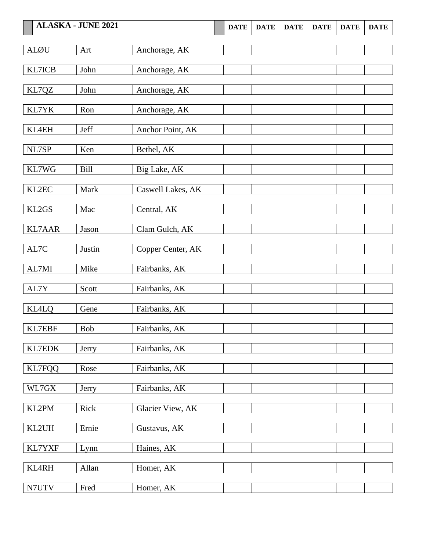|               | <b>ALASKA - JUNE 2021</b> |                   | <b>DATE</b> | <b>DATE</b> | <b>DATE</b> | <b>DATE</b> | <b>DATE</b> | <b>DATE</b> |
|---------------|---------------------------|-------------------|-------------|-------------|-------------|-------------|-------------|-------------|
| <b>ALØU</b>   | Art                       | Anchorage, AK     |             |             |             |             |             |             |
| KL7ICB        | John                      | Anchorage, AK     |             |             |             |             |             |             |
| KL7QZ         | John                      | Anchorage, AK     |             |             |             |             |             |             |
| KL7YK         | Ron                       | Anchorage, AK     |             |             |             |             |             |             |
| KL4EH         | Jeff                      | Anchor Point, AK  |             |             |             |             |             |             |
| NL7SP         | Ken                       | Bethel, AK        |             |             |             |             |             |             |
| KL7WG         | Bill                      | Big Lake, AK      |             |             |             |             |             |             |
| KL2EC         | Mark                      | Caswell Lakes, AK |             |             |             |             |             |             |
| KL2GS         | Mac                       | Central, AK       |             |             |             |             |             |             |
| <b>KL7AAR</b> | Jason                     | Clam Gulch, AK    |             |             |             |             |             |             |
| AL7C          | Justin                    | Copper Center, AK |             |             |             |             |             |             |
| AL7MI         | Mike                      | Fairbanks, AK     |             |             |             |             |             |             |
| AL7Y          | Scott                     | Fairbanks, AK     |             |             |             |             |             |             |
| <b>KL4LQ</b>  | Gene                      | Fairbanks, AK     |             |             |             |             |             |             |
| KL7EBF        | Bob                       | Fairbanks, AK     |             |             |             |             |             |             |
| KL7EDK        | Jerry                     | Fairbanks, AK     |             |             |             |             |             |             |
| <b>KL7FQQ</b> | Rose                      | Fairbanks, AK     |             |             |             |             |             |             |
| WL7GX         | Jerry                     | Fairbanks, AK     |             |             |             |             |             |             |
| KL2PM         | Rick                      | Glacier View, AK  |             |             |             |             |             |             |
| KL2UH         | Ernie                     | Gustavus, AK      |             |             |             |             |             |             |
| KL7YXF        | Lynn                      | Haines, AK        |             |             |             |             |             |             |
| KL4RH         | Allan                     | Homer, AK         |             |             |             |             |             |             |
| N7UTV         | Fred                      | Homer, AK         |             |             |             |             |             |             |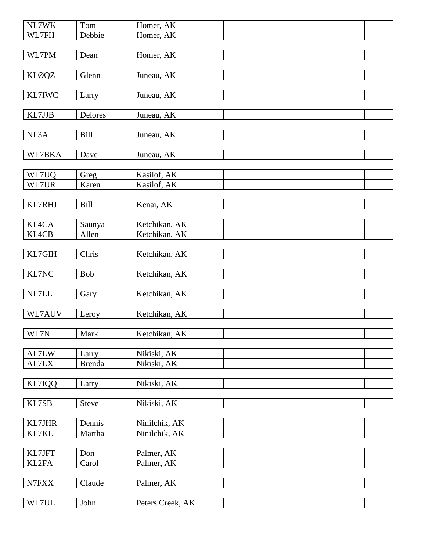| NL7WK          | Tom                    | Homer, AK                      |  |  |  |
|----------------|------------------------|--------------------------------|--|--|--|
| WL7FH          | Debbie                 | Homer, AK                      |  |  |  |
|                |                        |                                |  |  |  |
| WL7PM          | Dean                   | Homer, AK                      |  |  |  |
|                |                        |                                |  |  |  |
| <b>KLØQZ</b>   | Glenn                  | Juneau, AK                     |  |  |  |
| KL7IWC         |                        | Juneau, AK                     |  |  |  |
|                | Larry                  |                                |  |  |  |
| KL7JJB         | Delores                | Juneau, AK                     |  |  |  |
|                |                        |                                |  |  |  |
| NL3A           | <b>Bill</b>            | Juneau, AK                     |  |  |  |
|                |                        |                                |  |  |  |
| WL7BKA         | Dave                   | Juneau, AK                     |  |  |  |
|                |                        |                                |  |  |  |
| WL7UQ          | Greg                   | Kasilof, AK                    |  |  |  |
| WL7UR          | Karen                  | Kasilof, AK                    |  |  |  |
|                |                        |                                |  |  |  |
| KL7RHJ         | Bill                   | Kenai, AK                      |  |  |  |
|                |                        |                                |  |  |  |
| KL4CA<br>KL4CB | Saunya<br>Allen        | Ketchikan, AK<br>Ketchikan, AK |  |  |  |
|                |                        |                                |  |  |  |
| KL7GIH         | Chris                  | Ketchikan, AK                  |  |  |  |
|                |                        |                                |  |  |  |
| KL7NC          | Bob                    | Ketchikan, AK                  |  |  |  |
|                |                        |                                |  |  |  |
| NL7LL          | Gary                   | Ketchikan, AK                  |  |  |  |
|                |                        |                                |  |  |  |
| WL7AUV         | Leroy                  | Ketchikan, AK                  |  |  |  |
| ┍═             |                        |                                |  |  |  |
| WL7N           | Mark                   | Ketchikan, AK                  |  |  |  |
| AL7LW          |                        |                                |  |  |  |
| AL7LX          | Larry<br><b>Brenda</b> | Nikiski, AK<br>Nikiski, AK     |  |  |  |
|                |                        |                                |  |  |  |
| KL7IQQ         | Larry                  | Nikiski, AK                    |  |  |  |
|                |                        |                                |  |  |  |
| KL7SB          | Steve                  | Nikiski, AK                    |  |  |  |
|                |                        |                                |  |  |  |
| <b>KL7JHR</b>  | Dennis                 | Ninilchik, AK                  |  |  |  |
| KL7KL          | Martha                 | Ninilchik, AK                  |  |  |  |
|                |                        |                                |  |  |  |
| KL7JFT         | Don                    | Palmer, AK                     |  |  |  |
| KL2FA          | Carol                  | Palmer, AK                     |  |  |  |
|                |                        |                                |  |  |  |
| N7FXX          | Claude                 | Palmer, AK                     |  |  |  |
|                |                        |                                |  |  |  |
| WL7UL          | John                   | Peters Creek, AK               |  |  |  |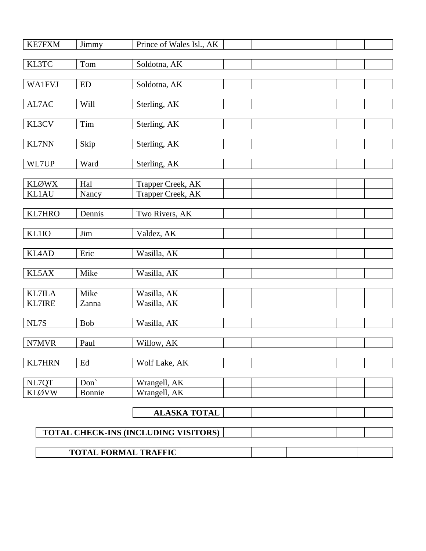| <b>KE7FXM</b> | Jimmy       | Prince of Wales Isl., AK             |  |
|---------------|-------------|--------------------------------------|--|
| KL3TC         | Tom         | Soldotna, AK                         |  |
|               |             |                                      |  |
| <b>WA1FVJ</b> | <b>ED</b>   | Soldotna, AK                         |  |
|               |             |                                      |  |
| AL7AC         | <b>Will</b> | Sterling, AK                         |  |
| KL3CV         | Tim         | Sterling, AK                         |  |
|               |             |                                      |  |
| <b>KL7NN</b>  | Skip        | Sterling, AK                         |  |
| WL7UP         | Ward        | Sterling, AK                         |  |
|               |             |                                      |  |
| <b>KLØWX</b>  | Hal         | Trapper Creek, AK                    |  |
| <b>KL1AU</b>  | Nancy       | Trapper Creek, AK                    |  |
| <b>KL7HRO</b> | Dennis      |                                      |  |
|               |             | Two Rivers, AK                       |  |
| KL1IO         | Jim         | Valdez, AK                           |  |
|               |             |                                      |  |
| KL4AD         | Eric        | Wasilla, AK                          |  |
| KL5AX         | Mike        | Wasilla, AK                          |  |
|               |             |                                      |  |
| <b>KL7ILA</b> | Mike        | Wasilla, AK                          |  |
| <b>KL7IRE</b> | Zanna       | Wasilla, AK                          |  |
| NL7S          | Bob         | Wasilla, AK                          |  |
|               |             |                                      |  |
| N7MVR         | Paul        | Willow, AK                           |  |
|               |             |                                      |  |
| <b>KL7HRN</b> | Ed          | Wolf Lake, AK                        |  |
| NL7QT         | Don'        | Wrangell, AK                         |  |
| <b>KLØVW</b>  | Bonnie      | Wrangell, AK                         |  |
|               |             |                                      |  |
|               |             | <b>ALASKA TOTAL</b>                  |  |
|               |             | TOTAL CHECK-INS (INCLUDING VISITORS) |  |
|               |             |                                      |  |
|               |             | <b>TOTAL FORMAL TRAFFIC</b>          |  |